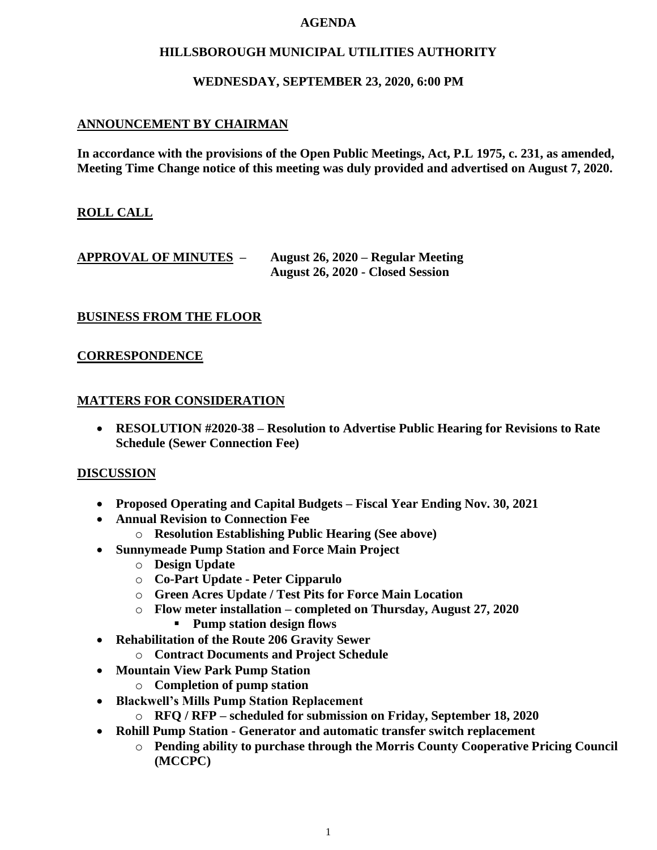#### **AGENDA**

### **HILLSBOROUGH MUNICIPAL UTILITIES AUTHORITY**

### **WEDNESDAY, SEPTEMBER 23, 2020, 6:00 PM**

## **ANNOUNCEMENT BY CHAIRMAN**

**In accordance with the provisions of the Open Public Meetings, Act, P.L 1975, c. 231, as amended, Meeting Time Change notice of this meeting was duly provided and advertised on August 7, 2020.**

## **ROLL CALL**

## **APPROVAL OF MINUTES – August 26, 2020 – Regular Meeting August 26, 2020 - Closed Session**

## **BUSINESS FROM THE FLOOR**

#### **CORRESPONDENCE**

#### **MATTERS FOR CONSIDERATION**

• **RESOLUTION #2020-38 – Resolution to Advertise Public Hearing for Revisions to Rate Schedule (Sewer Connection Fee)**

#### **DISCUSSION**

- **Proposed Operating and Capital Budgets – Fiscal Year Ending Nov. 30, 2021**
- **Annual Revision to Connection Fee**
	- o **Resolution Establishing Public Hearing (See above)**
- **Sunnymeade Pump Station and Force Main Project**
	- o **Design Update**
	- o **Co-Part Update - Peter Cipparulo**
	- o **Green Acres Update / Test Pits for Force Main Location**
	- o **Flow meter installation – completed on Thursday, August 27, 2020**
		- **Pump station design flows**
- **Rehabilitation of the Route 206 Gravity Sewer**
	- o **Contract Documents and Project Schedule**
- **Mountain View Park Pump Station**
	- o **Completion of pump station**
- **Blackwell's Mills Pump Station Replacement**
	- o **RFQ / RFP – scheduled for submission on Friday, September 18, 2020**
- **Rohill Pump Station - Generator and automatic transfer switch replacement**
	- o **Pending ability to purchase through the Morris County Cooperative Pricing Council (MCCPC)**